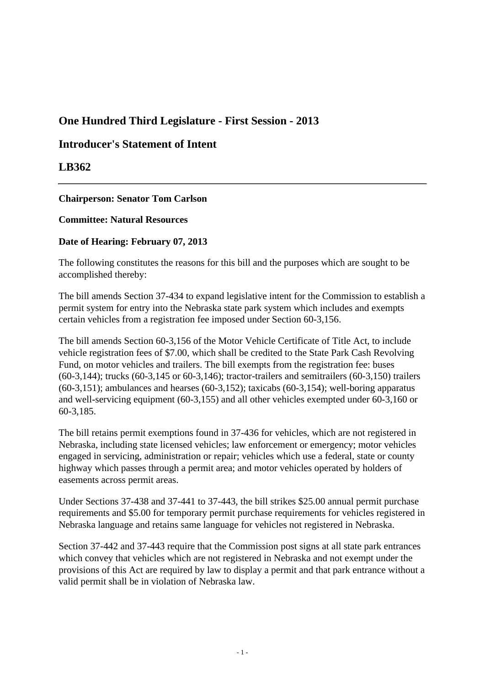# **One Hundred Third Legislature - First Session - 2013**

## **Introducer's Statement of Intent**

### **LB362**

### **Chairperson: Senator Tom Carlson**

#### **Committee: Natural Resources**

### **Date of Hearing: February 07, 2013**

The following constitutes the reasons for this bill and the purposes which are sought to be accomplished thereby:

The bill amends Section 37-434 to expand legislative intent for the Commission to establish a permit system for entry into the Nebraska state park system which includes and exempts certain vehicles from a registration fee imposed under Section 60-3,156.

The bill amends Section 60-3,156 of the Motor Vehicle Certificate of Title Act, to include vehicle registration fees of \$7.00, which shall be credited to the State Park Cash Revolving Fund, on motor vehicles and trailers. The bill exempts from the registration fee: buses (60-3,144); trucks (60-3,145 or 60-3,146); tractor-trailers and semitrailers (60-3,150) trailers  $(60-3.151)$ ; ambulances and hearses  $(60-3.152)$ ; taxicabs  $(60-3.154)$ ; well-boring apparatus and well-servicing equipment (60-3,155) and all other vehicles exempted under 60-3,160 or 60-3,185.

The bill retains permit exemptions found in 37-436 for vehicles, which are not registered in Nebraska, including state licensed vehicles; law enforcement or emergency; motor vehicles engaged in servicing, administration or repair; vehicles which use a federal, state or county highway which passes through a permit area; and motor vehicles operated by holders of easements across permit areas.

Under Sections 37-438 and 37-441 to 37-443, the bill strikes \$25.00 annual permit purchase requirements and \$5.00 for temporary permit purchase requirements for vehicles registered in Nebraska language and retains same language for vehicles not registered in Nebraska.

Section 37-442 and 37-443 require that the Commission post signs at all state park entrances which convey that vehicles which are not registered in Nebraska and not exempt under the provisions of this Act are required by law to display a permit and that park entrance without a valid permit shall be in violation of Nebraska law.